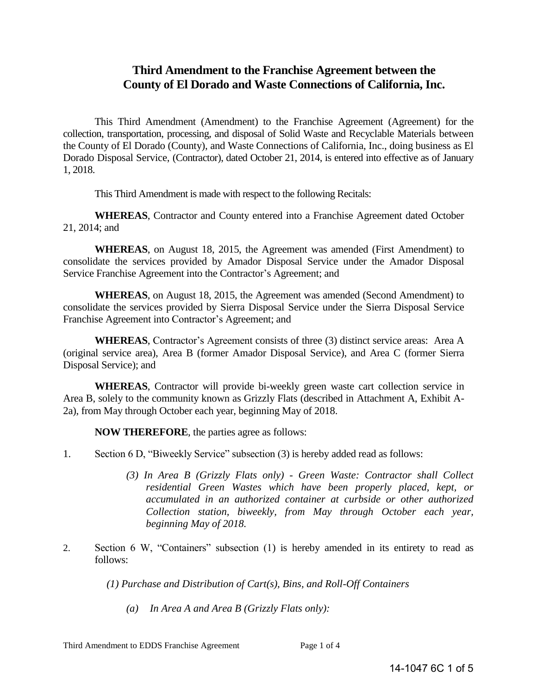# **Third Amendment to the Franchise Agreement between the County of El Dorado and Waste Connections of California, Inc.**

This Third Amendment (Amendment) to the Franchise Agreement (Agreement) for the collection, transportation, processing, and disposal of Solid Waste and Recyclable Materials between the County of El Dorado (County), and Waste Connections of California, Inc., doing business as El Dorado Disposal Service, (Contractor), dated October 21, 2014, is entered into effective as of January 1, 2018.

This Third Amendment is made with respect to the following Recitals:

**WHEREAS**, Contractor and County entered into a Franchise Agreement dated October 21, 2014; and

**WHEREAS**, on August 18, 2015, the Agreement was amended (First Amendment) to consolidate the services provided by Amador Disposal Service under the Amador Disposal Service Franchise Agreement into the Contractor's Agreement; and

**WHEREAS**, on August 18, 2015, the Agreement was amended (Second Amendment) to consolidate the services provided by Sierra Disposal Service under the Sierra Disposal Service Franchise Agreement into Contractor's Agreement; and

**WHEREAS**, Contractor's Agreement consists of three (3) distinct service areas: Area A (original service area), Area B (former Amador Disposal Service), and Area C (former Sierra Disposal Service); and

**WHEREAS**, Contractor will provide bi-weekly green waste cart collection service in Area B, solely to the community known as Grizzly Flats (described in Attachment A, Exhibit A-2a), from May through October each year, beginning May of 2018.

**NOW THEREFORE**, the parties agree as follows:

- 1. Section 6 D, "Biweekly Service" subsection (3) is hereby added read as follows:
	- *(3) In Area B (Grizzly Flats only) Green Waste: Contractor shall Collect residential Green Wastes which have been properly placed, kept, or accumulated in an authorized container at curbside or other authorized Collection station, biweekly, from May through October each year, beginning May of 2018.*
- 2. Section 6 W, "Containers" subsection (1) is hereby amended in its entirety to read as follows:

*(1) Purchase and Distribution of Cart(s), Bins, and Roll-Off Containers* 

*(a) In Area A and Area B (Grizzly Flats only):*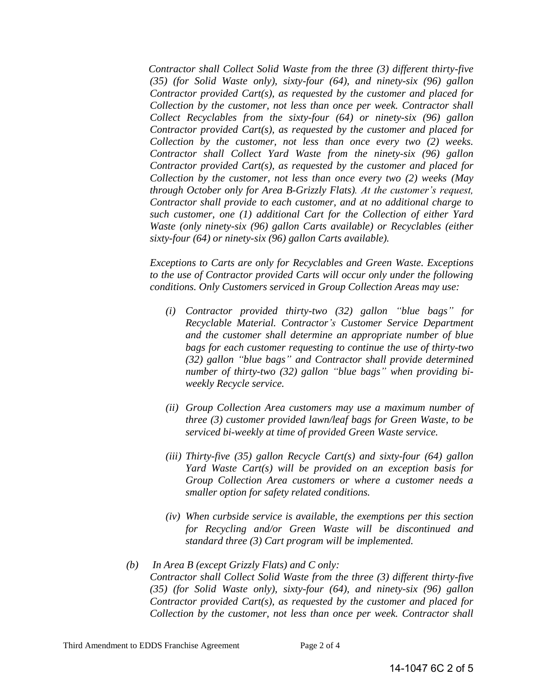*Contractor shall Collect Solid Waste from the three (3) different thirty-five (35) (for Solid Waste only), sixty-four (64), and ninety-six (96) gallon Contractor provided Cart(s), as requested by the customer and placed for Collection by the customer, not less than once per week. Contractor shall Collect Recyclables from the sixty-four (64) or ninety-six (96) gallon Contractor provided Cart(s), as requested by the customer and placed for Collection by the customer, not less than once every two (2) weeks. Contractor shall Collect Yard Waste from the ninety-six (96) gallon Contractor provided Cart(s), as requested by the customer and placed for Collection by the customer, not less than once every two (2) weeks (May through October only for Area B-Grizzly Flats). At the customer's request, Contractor shall provide to each customer, and at no additional charge to such customer, one (1) additional Cart for the Collection of either Yard Waste (only ninety-six (96) gallon Carts available) or Recyclables (either sixty-four (64) or ninety-six (96) gallon Carts available).* 

*Exceptions to Carts are only for Recyclables and Green Waste. Exceptions to the use of Contractor provided Carts will occur only under the following conditions. Only Customers serviced in Group Collection Areas may use:* 

- *(i) Contractor provided thirty-two (32) gallon "blue bags" for Recyclable Material. Contractor's Customer Service Department and the customer shall determine an appropriate number of blue bags for each customer requesting to continue the use of thirty-two (32) gallon "blue bags" and Contractor shall provide determined number of thirty-two (32) gallon "blue bags" when providing biweekly Recycle service.*
- *(ii) Group Collection Area customers may use a maximum number of three (3) customer provided lawn/leaf bags for Green Waste, to be serviced bi-weekly at time of provided Green Waste service.*
- *(iii) Thirty-five (35) gallon Recycle Cart(s) and sixty-four (64) gallon Yard Waste Cart(s) will be provided on an exception basis for Group Collection Area customers or where a customer needs a smaller option for safety related conditions.*
- *(iv) When curbside service is available, the exemptions per this section for Recycling and/or Green Waste will be discontinued and standard three (3) Cart program will be implemented.*
- *(b) In Area B (except Grizzly Flats) and C only: Contractor shall Collect Solid Waste from the three (3) different thirty-five (35) (for Solid Waste only), sixty-four (64), and ninety-six (96) gallon Contractor provided Cart(s), as requested by the customer and placed for Collection by the customer, not less than once per week. Contractor shall*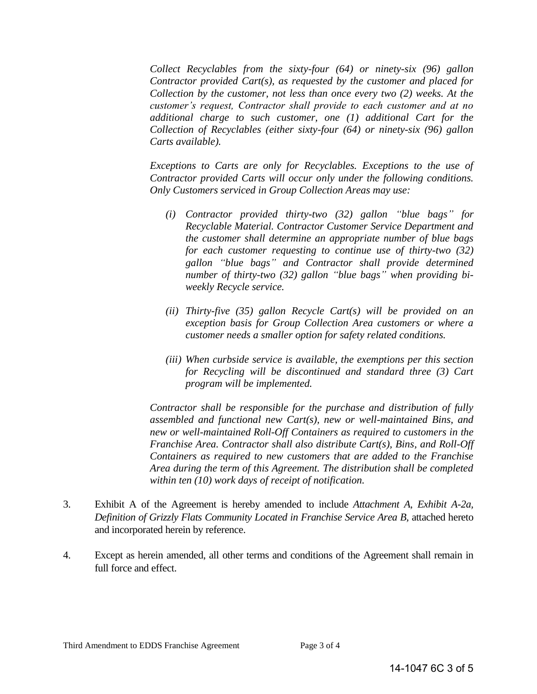*Collect Recyclables from the sixty-four (64) or ninety-six (96) gallon Contractor provided Cart(s), as requested by the customer and placed for Collection by the customer, not less than once every two (2) weeks. At the customer's request, Contractor shall provide to each customer and at no additional charge to such customer, one (1) additional Cart for the Collection of Recyclables (either sixty-four (64) or ninety-six (96) gallon Carts available).* 

*Exceptions to Carts are only for Recyclables. Exceptions to the use of Contractor provided Carts will occur only under the following conditions. Only Customers serviced in Group Collection Areas may use:* 

- *(i) Contractor provided thirty-two (32) gallon "blue bags" for Recyclable Material. Contractor Customer Service Department and the customer shall determine an appropriate number of blue bags for each customer requesting to continue use of thirty-two (32) gallon "blue bags" and Contractor shall provide determined number of thirty-two (32) gallon "blue bags" when providing biweekly Recycle service.*
- *(ii) Thirty-five (35) gallon Recycle Cart(s) will be provided on an exception basis for Group Collection Area customers or where a customer needs a smaller option for safety related conditions.*
- *(iii) When curbside service is available, the exemptions per this section for Recycling will be discontinued and standard three (3) Cart program will be implemented.*

*Contractor shall be responsible for the purchase and distribution of fully assembled and functional new Cart(s), new or well-maintained Bins, and new or well-maintained Roll-Off Containers as required to customers in the Franchise Area. Contractor shall also distribute Cart(s), Bins, and Roll-Off Containers as required to new customers that are added to the Franchise Area during the term of this Agreement. The distribution shall be completed within ten (10) work days of receipt of notification.* 

- 3. Exhibit A of the Agreement is hereby amended to include *Attachment A, Exhibit A-2a, Definition of Grizzly Flats Community Located in Franchise Service Area B,* attached hereto and incorporated herein by reference.
- 4. Except as herein amended, all other terms and conditions of the Agreement shall remain in full force and effect.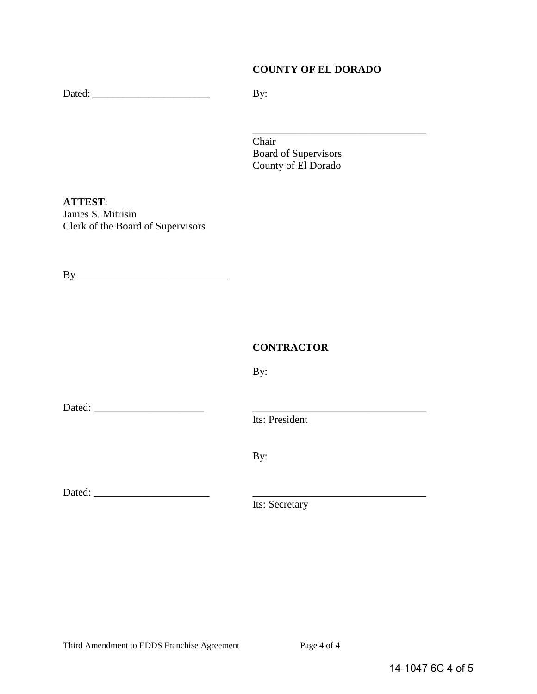#### **COUNTY OF EL DORADO**

Dated: \_\_\_\_\_\_\_\_\_\_\_\_\_\_\_\_\_\_\_\_\_\_\_ By:

\_\_\_\_\_\_\_\_\_\_\_\_\_\_\_\_\_\_\_\_\_\_\_\_\_\_\_\_\_\_\_\_\_ Chair Board of Supervisors County of El Dorado

**ATTEST**: James S. Mitrisin Clerk of the Board of Supervisors

 $By$ 

#### **CONTRACTOR**

By:

Dated: \_\_\_\_\_\_\_\_\_\_\_\_\_\_\_\_\_\_\_\_\_ \_\_\_\_\_\_\_\_\_\_\_\_\_\_\_\_\_\_\_\_\_\_\_\_\_\_\_\_\_\_\_\_\_

Its: President

By:

Dated: \_\_\_\_\_\_\_\_\_\_\_\_\_\_\_\_\_\_\_\_\_\_ \_\_\_\_\_\_\_\_\_\_\_\_\_\_\_\_\_\_\_\_\_\_\_\_\_\_\_\_\_\_\_\_\_

Its: Secretary